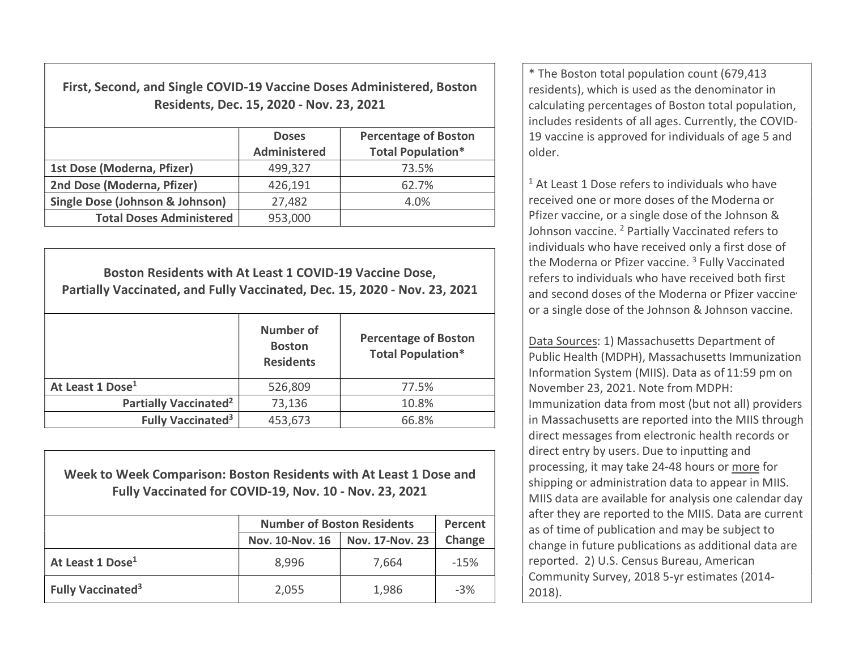First, Second, and Single COVID-19 Vaccine Doses Administered, Boston Residents, Dec. 15, 2020 - Nov. 23, 2021

|                                            | <b>Doses</b><br>Administered | <b>Percentage of Boston</b><br><b>Total Population*</b> |
|--------------------------------------------|------------------------------|---------------------------------------------------------|
| 1st Dose (Moderna, Pfizer)                 | 499,327                      | 73.5%                                                   |
| 2nd Dose (Moderna, Pfizer)                 | 426,191                      | 62.7%                                                   |
| <b>Single Dose (Johnson &amp; Johnson)</b> | 27,482                       | 4.0%                                                    |
| <b>Total Doses Administered</b>            | 953,000                      |                                                         |

Boston Residents with At Least 1 COVID-19 Vaccine Dose, Partially Vaccinated, and Fully Vaccinated, Dec. 15, 2020 - Nov. 23, 2021 Number of **Boston Residents** Percentage of Boston Total Population\* At Least 1 Dose<sup>1</sup> 17.5% Partially Vaccinated<sup>2</sup> 73,136 10.8% Fully Vaccinated<sup>3</sup> 453,673  $\vert$  66.8%

Week to Week Comparison: Boston Residents with At Least 1 Dose and Fully Vaccinated for COVID-19, Nov. 10 - Nov. 23, 2021

|                                     | <b>Number of Boston Residents</b> | Percent                |        |
|-------------------------------------|-----------------------------------|------------------------|--------|
|                                     | Nov. 10-Nov. 16                   | <b>Nov. 17-Nov. 23</b> | Change |
| At Least 1 Dose <sup>1</sup>        | 8,996                             | 7,664                  | $-15%$ |
| <b>Fully Vaccinated<sup>3</sup></b> | 2,055                             | 1,986                  | $-3%$  |

\* The Boston total population count (679,413 residents), which is used as the denominator in calculating percentages of Boston total population, includes residents of all ages. Currently, the COVID-19 vaccine is approved for individuals of age 5 and older.

<sup>1</sup> At Least 1 Dose refers to individuals who have received one or more doses of the Moderna or Pfizer vaccine, or a single dose of the Johnson & Johnson vaccine. <sup>2</sup> Partially Vaccinated refers to individuals who have received only a first dose of the Moderna or Pfizer vaccine.<sup>3</sup> Fully Vaccinated refers to individuals who have received both first and second doses of the Moderna or Pfizer vaccine or a single dose of the Johnson & Johnson vaccine.

Data Sources: 1) Massachusetts Department of Public Health (MDPH), Massachusetts Immunization Information System (MIIS). Data as of 11:59 pm on November 23, 2021. Note from MDPH: Immunization data from most (but not all) providers in Massachusetts are reported into the MIIS through direct messages from electronic health records or direct entry by users. Due to inputting and processing, it may take 24-48 hours or more for shipping or administration data to appear in MIIS. MIIS data are available for analysis one calendar day after they are reported to the MIIS. Data are current as of time of publication and may be subject to change in future publications as additional data are reported. 2) U.S. Census Bureau, American Community Survey, 2018 5-yr estimates (2014- 2018).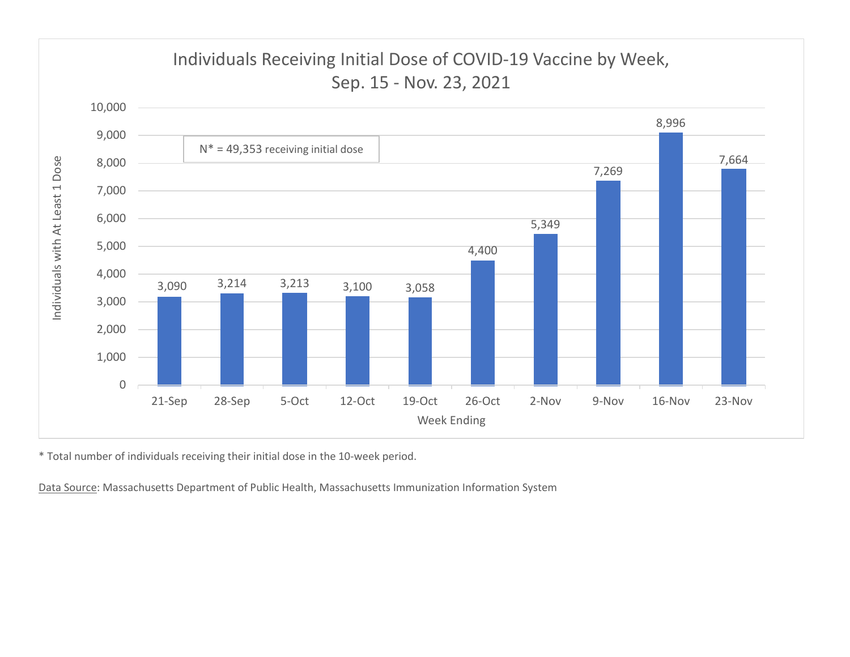

\* Total number of individuals receiving their initial dose in the 10-week period.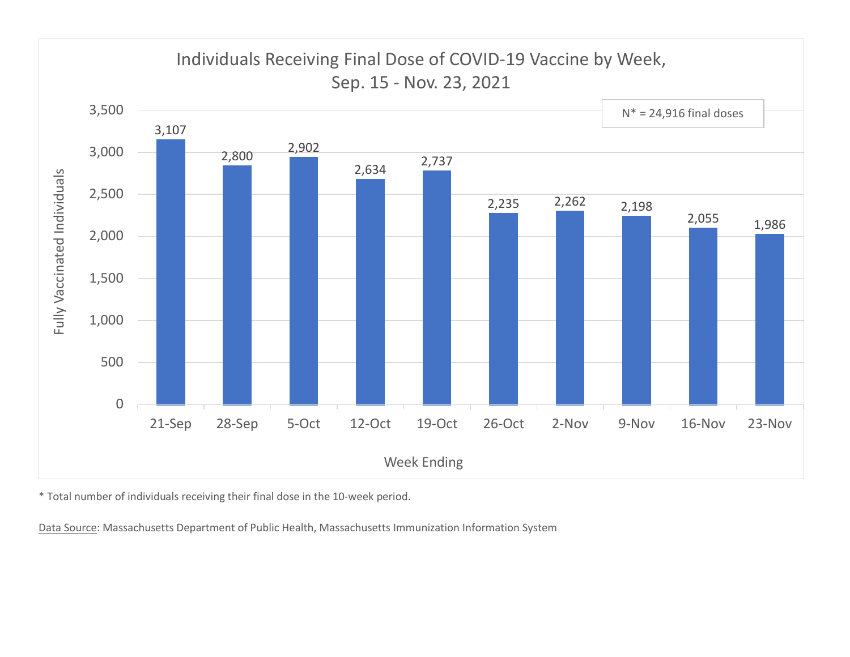

\* Total number of individuals receiving their final dose in the 10-week period.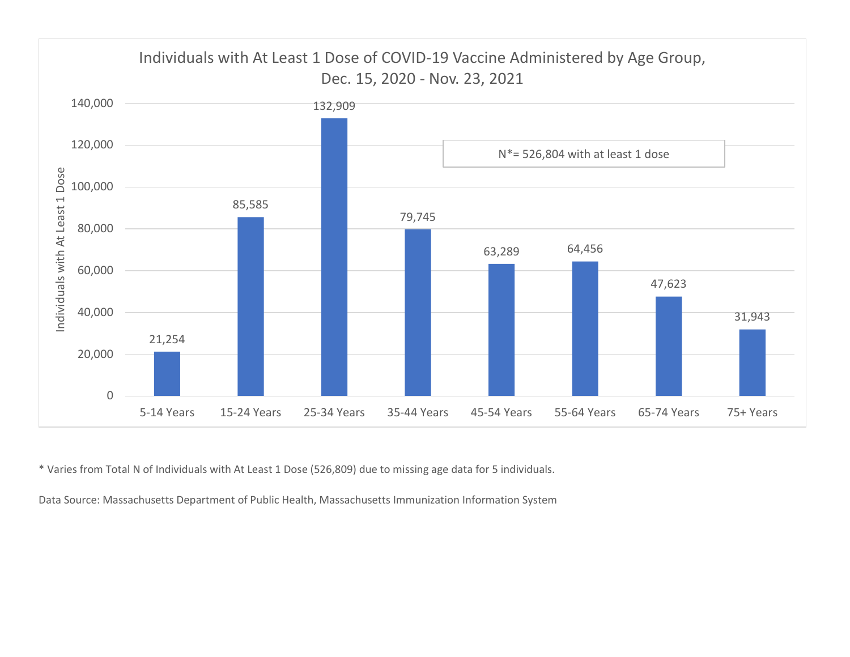

\* Varies from Total N of Individuals with At Least 1 Dose (526,809) due to missing age data for 5 individuals.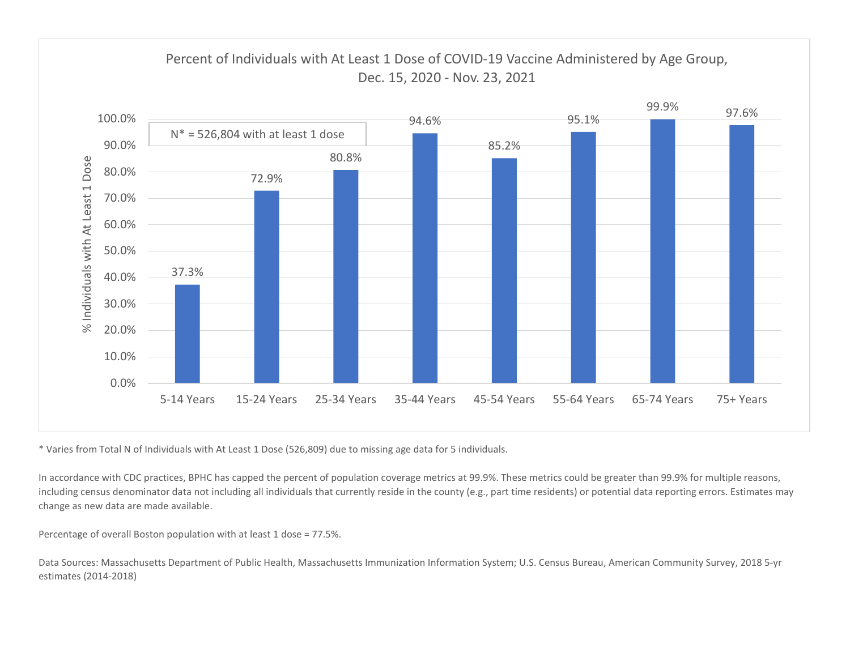

\* Varies from Total N of Individuals with At Least 1 Dose (526,809) due to missing age data for 5 individuals.

In accordance with CDC practices, BPHC has capped the percent of population coverage metrics at 99.9%. These metrics could be greater than 99.9% for multiple reasons, including census denominator data not including all individuals that currently reside in the county (e.g., part time residents) or potential data reporting errors. Estimates may change as new data are made available.

Percentage of overall Boston population with at least 1 dose = 77.5%.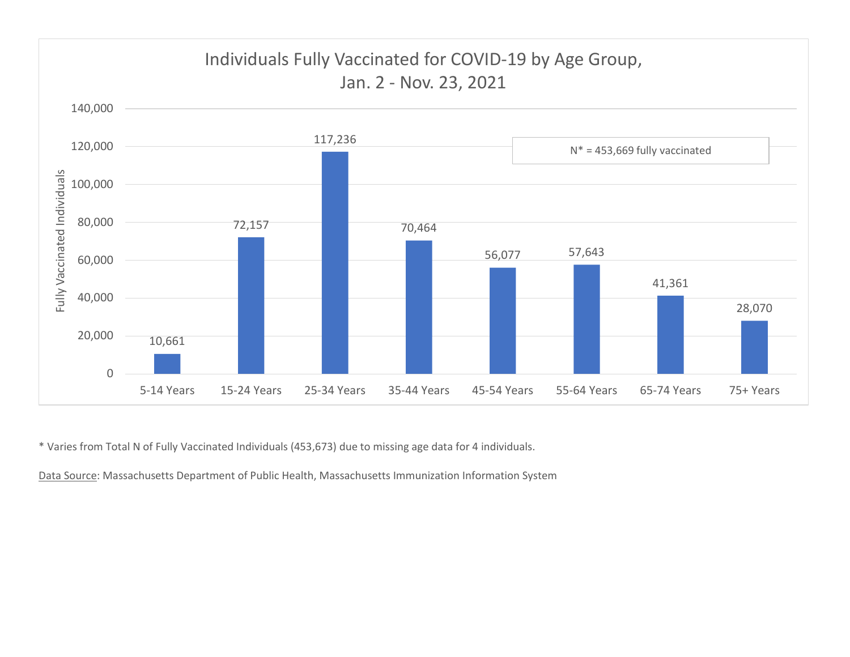

\* Varies from Total N of Fully Vaccinated Individuals (453,673) due to missing age data for 4 individuals.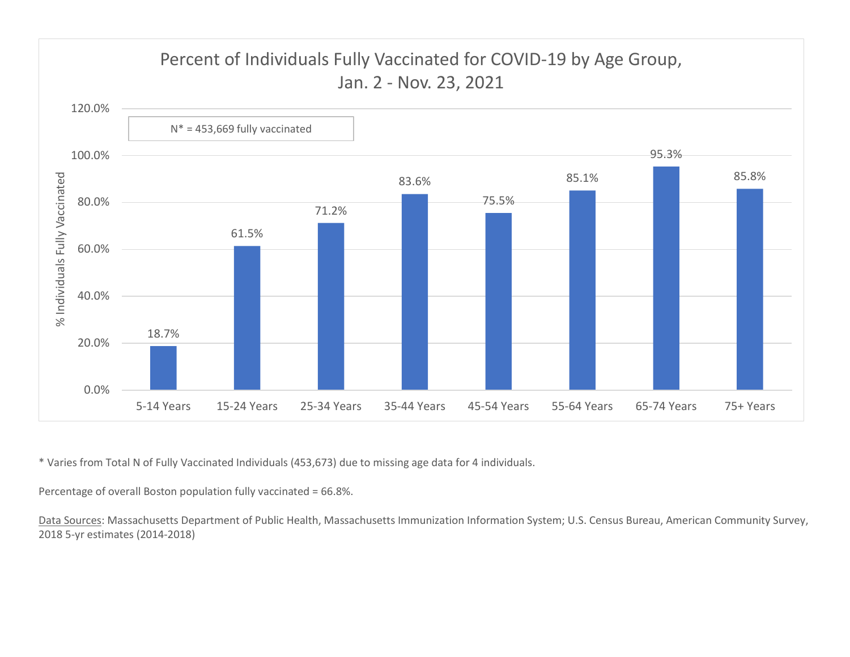![](_page_6_Figure_0.jpeg)

\* Varies from Total N of Fully Vaccinated Individuals (453,673) due to missing age data for 4 individuals.

Percentage of overall Boston population fully vaccinated = 66.8%.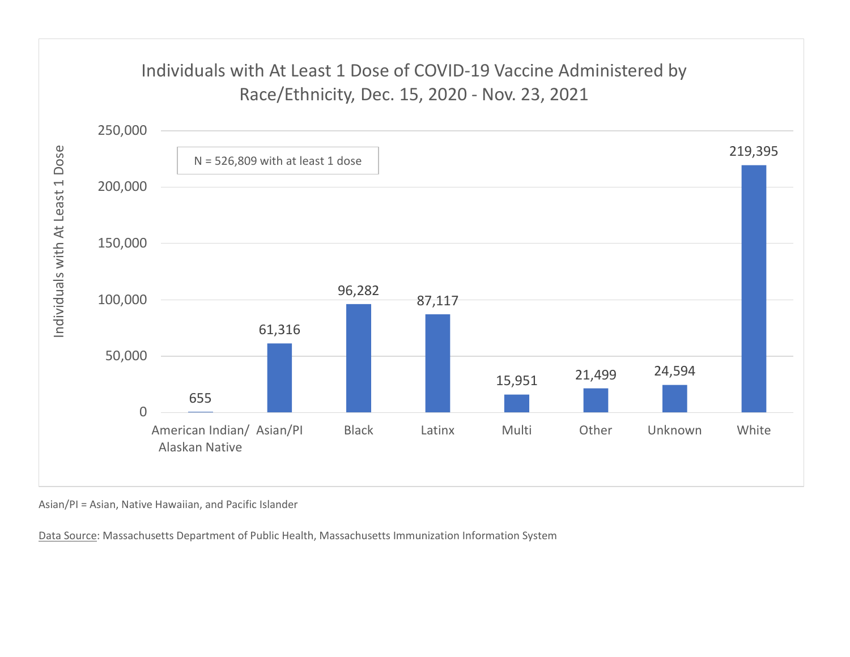## Individuals with At Least 1 Dose of COVID-19 Vaccine Administered by

![](_page_7_Figure_1.jpeg)

Asian/PI = Asian, Native Hawaiian, and Pacific Islander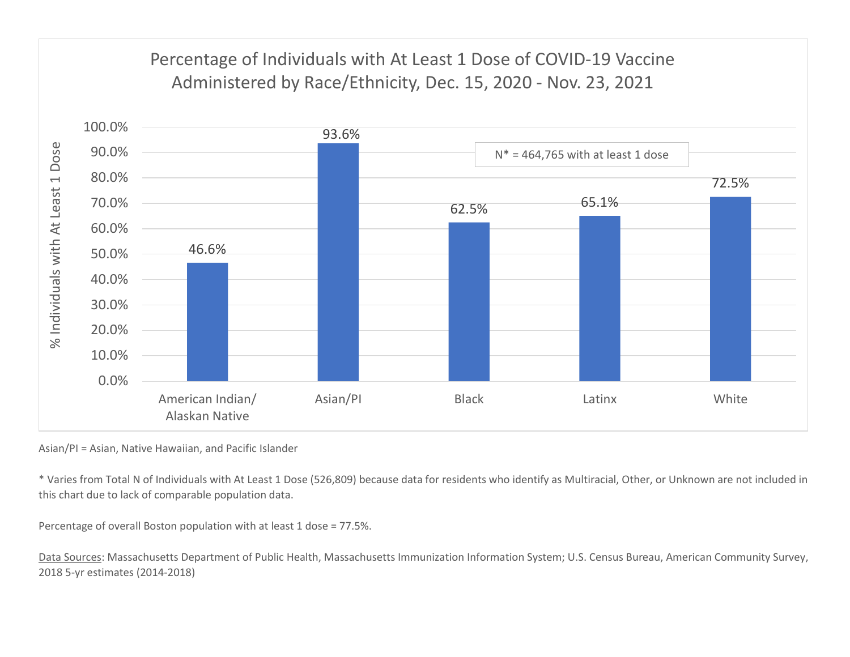## 100.0% Percentage of Individuals with At Least 1 Dose of COVID-19 Vaccine expecting the Minimistered by Race/Ethnicity, Dec. 15, 2020 - Nov. 23, 2021<br>
93.6%<br>
93.6%<br>
93.6%<br>
93.6%<br>
93.6%<br>
93.6%

![](_page_8_Figure_1.jpeg)

Asian/PI = Asian, Native Hawaiian, and Pacific Islander

\* Varies from Total N of Individuals with At Least 1 Dose (526,809) because data for residents who identify as Multiracial, Other, or Unknown are not included in this chart due to lack of comparable population data.

Percentage of overall Boston population with at least 1 dose = 77.5%.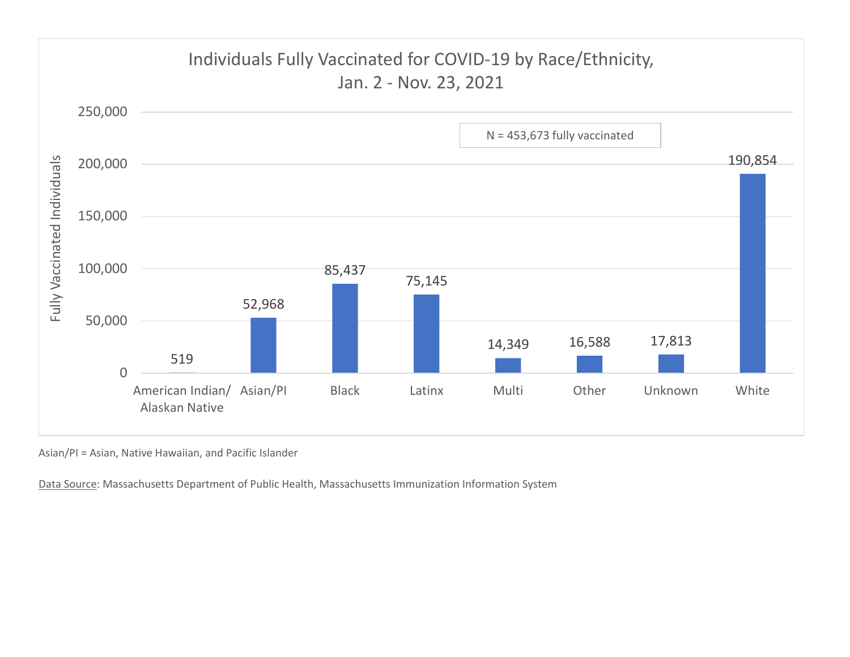![](_page_9_Figure_0.jpeg)

Asian/PI = Asian, Native Hawaiian, and Pacific Islander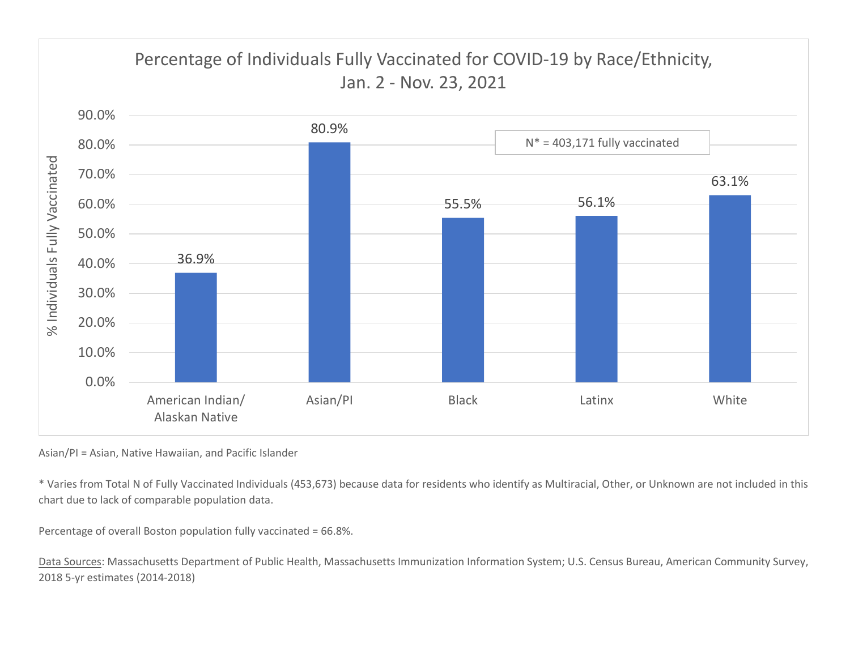![](_page_10_Figure_0.jpeg)

Asian/PI = Asian, Native Hawaiian, and Pacific Islander

\* Varies from Total N of Fully Vaccinated Individuals (453,673) because data for residents who identify as Multiracial, Other, or Unknown are not included in this chart due to lack of comparable population data.

Percentage of overall Boston population fully vaccinated = 66.8%.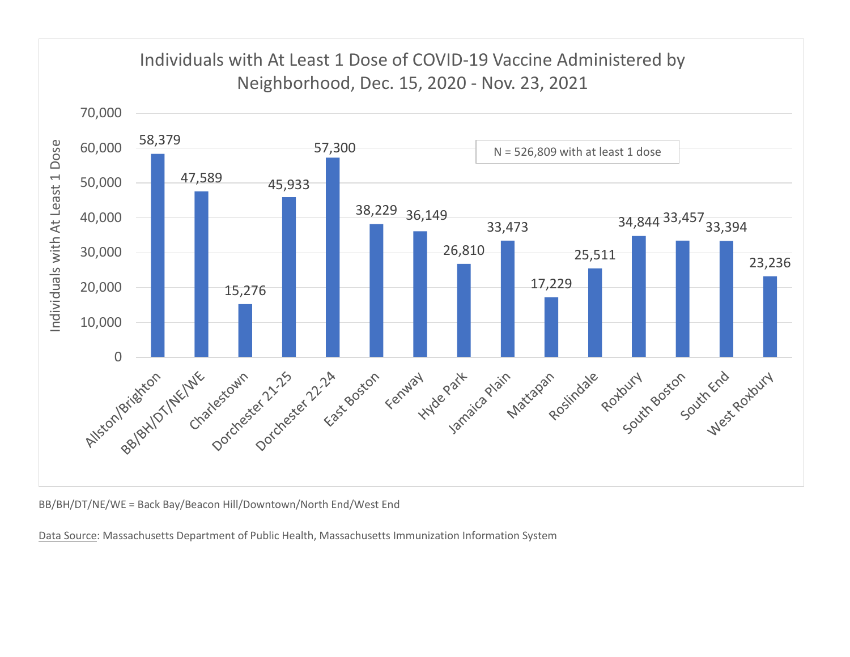![](_page_11_Figure_0.jpeg)

BB/BH/DT/NE/WE = Back Bay/Beacon Hill/Downtown/North End/West End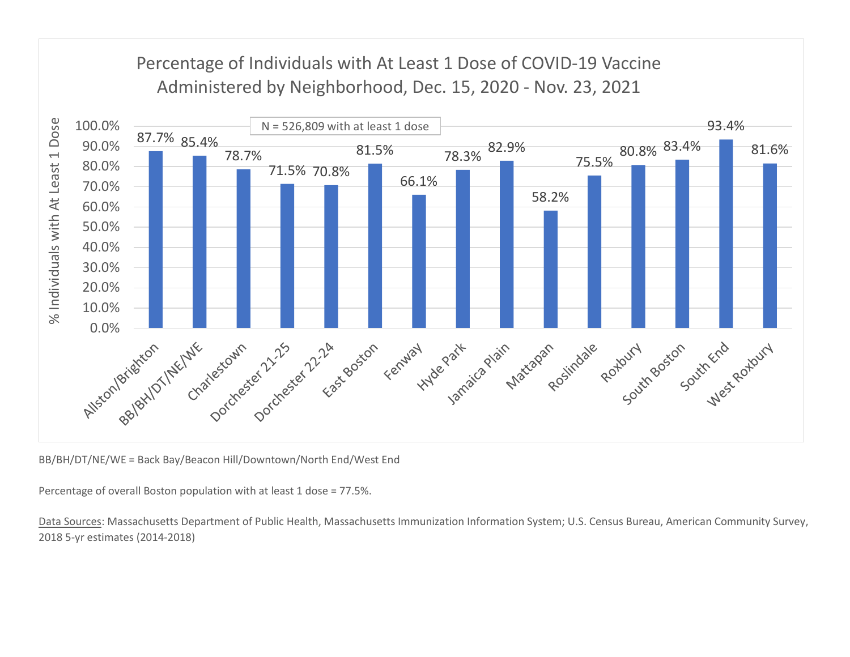![](_page_12_Figure_0.jpeg)

BB/BH/DT/NE/WE = Back Bay/Beacon Hill/Downtown/North End/West End

Percentage of overall Boston population with at least 1 dose = 77.5%.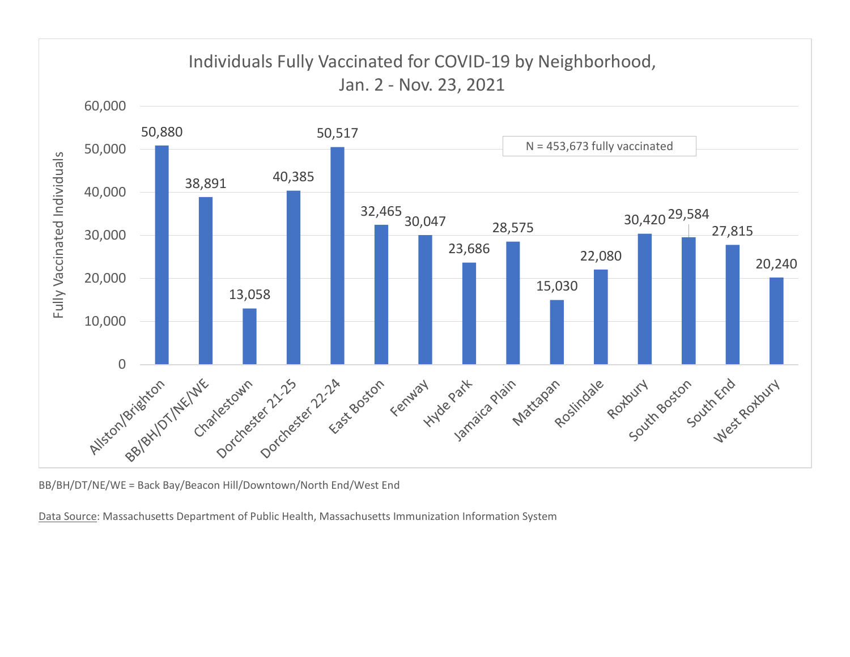![](_page_13_Figure_0.jpeg)

BB/BH/DT/NE/WE = Back Bay/Beacon Hill/Downtown/North End/West End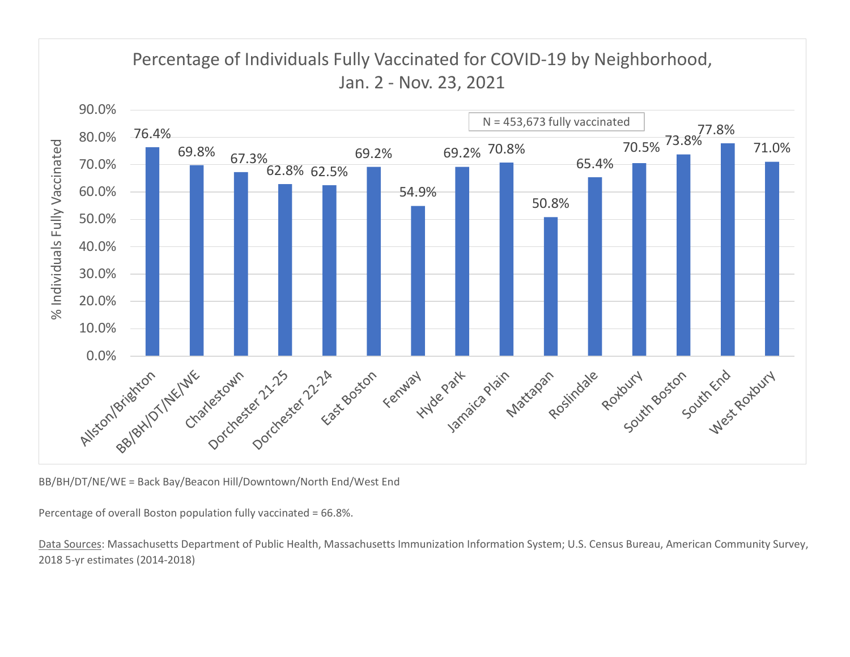![](_page_14_Figure_0.jpeg)

BB/BH/DT/NE/WE = Back Bay/Beacon Hill/Downtown/North End/West End

Percentage of overall Boston population fully vaccinated = 66.8%.